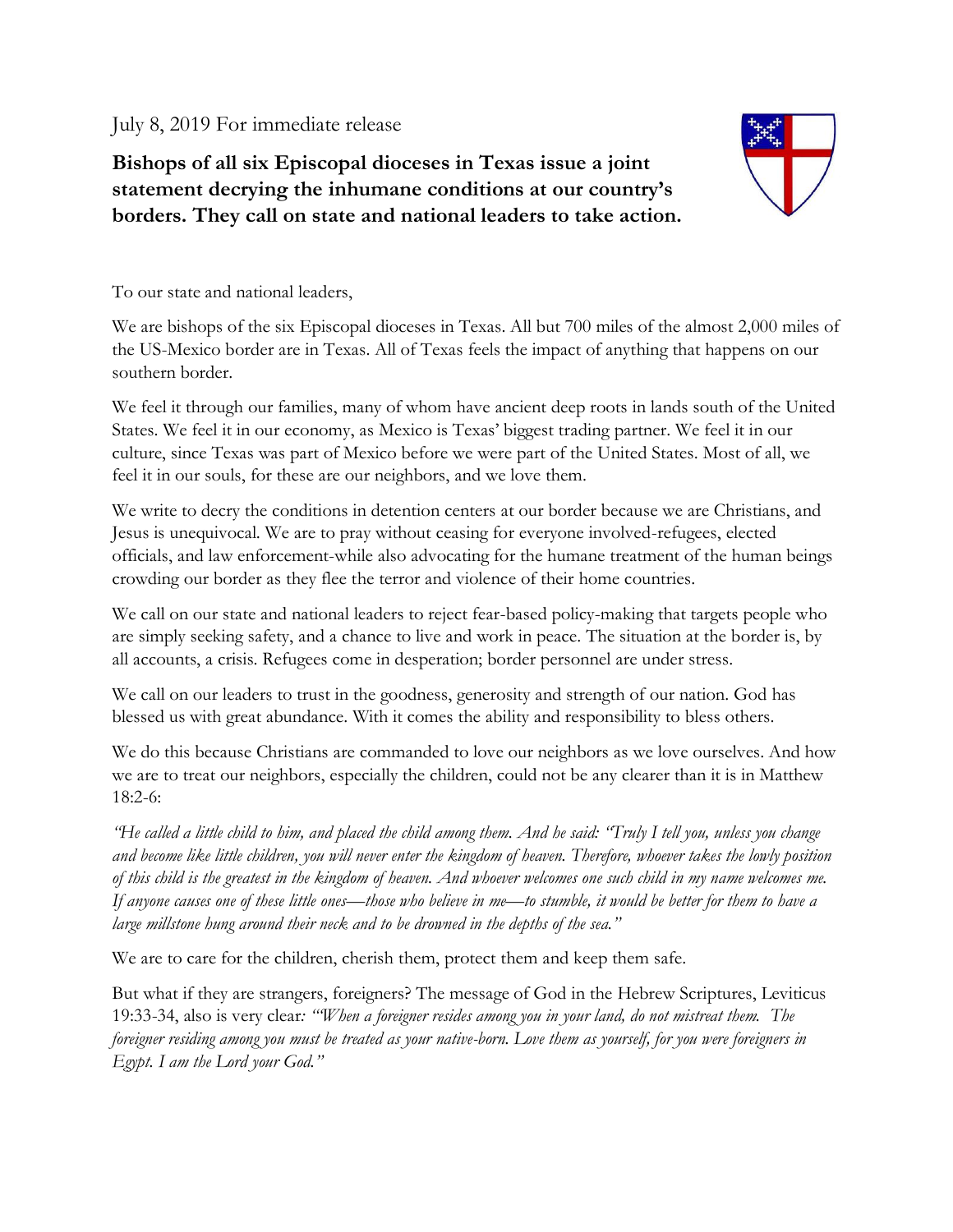July 8, 2019 For immediate release

**Bishops of all six Episcopal dioceses in Texas issue a joint statement decrying the inhumane conditions at our country's borders. They call on state and national leaders to take action.**



To our state and national leaders,

We are bishops of the six Episcopal dioceses in Texas. All but 700 miles of the almost 2,000 miles of the US-Mexico border are in Texas. All of Texas feels the impact of anything that happens on our southern border.

We feel it through our families, many of whom have ancient deep roots in lands south of the United States. We feel it in our economy, as Mexico is Texas' biggest trading partner. We feel it in our culture, since Texas was part of Mexico before we were part of the United States. Most of all, we feel it in our souls, for these are our neighbors, and we love them.

We write to decry the conditions in detention centers at our border because we are Christians, and Jesus is unequivocal. We are to pray without ceasing for everyone involved-refugees, elected officials, and law enforcement-while also advocating for the humane treatment of the human beings crowding our border as they flee the terror and violence of their home countries.

We call on our state and national leaders to reject fear-based policy-making that targets people who are simply seeking safety, and a chance to live and work in peace. The situation at the border is, by all accounts, a crisis. Refugees come in desperation; border personnel are under stress.

We call on our leaders to trust in the goodness, generosity and strength of our nation. God has blessed us with great abundance. With it comes the ability and responsibility to bless others.

We do this because Christians are commanded to love our neighbors as we love ourselves. And how we are to treat our neighbors, especially the children, could not be any clearer than it is in Matthew 18:2-6:

*"He called a little child to him, and placed the child among them. And he said: "Truly I tell you, unless you change and become like little children, you will never enter the kingdom of heaven. Therefore, whoever takes the lowly position of this child is the greatest in the kingdom of heaven. And whoever welcomes one such child in my name welcomes me. If anyone causes one of these little ones—those who believe in me—to stumble, it would be better for them to have a large millstone hung around their neck and to be drowned in the depths of the sea."*

We are to care for the children, cherish them, protect them and keep them safe.

But what if they are strangers, foreigners? The message of God in the Hebrew Scriptures, Leviticus 19:33-34, also is very clear*: "'When a foreigner resides among you in your land, do not mistreat them. The foreigner residing among you must be treated as your native-born. Love them as yourself, for you were foreigners in Egypt. I am the Lord your God."*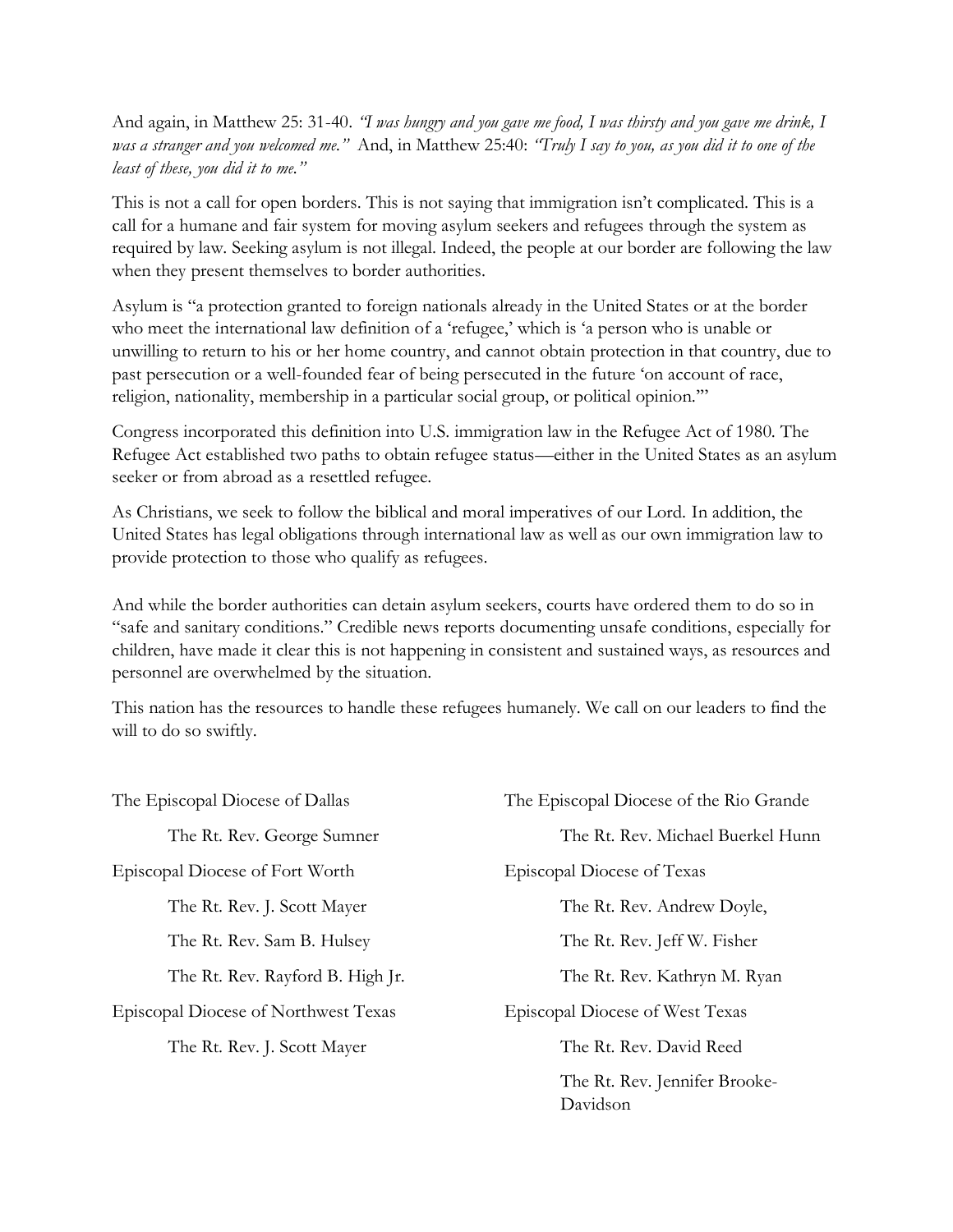And again, in Matthew 25: 31-40. *"I was hungry and you gave me food, I was thirsty and you gave me drink, I was a stranger and you welcomed me."* And, in Matthew 25:40: *"Truly I say to you, as you did it to one of the least of these, you did it to me."*

This is not a call for open borders. This is not saying that immigration isn't complicated. This is a call for a humane and fair system for moving asylum seekers and refugees through the system as required by law. Seeking asylum is not illegal. Indeed, the people at our border are following the law when they present themselves to border authorities.

Asylum is "a protection granted to foreign nationals already in the United States or at the border who meet the international law definition of a 'refugee,' which is 'a person who is unable or unwilling to return to his or her home country, and cannot obtain protection in that country, due to past persecution or a well-founded fear of being persecuted in the future 'on account of race, religion, nationality, membership in a particular social group, or political opinion.'"

Congress incorporated this definition into U.S. immigration law in the Refugee Act of 1980. The Refugee Act established two paths to obtain refugee status—either in the United States as an asylum seeker or from abroad as a resettled refugee.

As Christians, we seek to follow the biblical and moral imperatives of our Lord. In addition, the United States has legal obligations through international law as well as our own immigration law to provide protection to those who qualify as refugees.

And while the border authorities can detain asylum seekers, courts have ordered them to do so in "safe and sanitary conditions." Credible news reports documenting unsafe conditions, especially for children, have made it clear this is not happening in consistent and sustained ways, as resources and personnel are overwhelmed by the situation.

This nation has the resources to handle these refugees humanely. We call on our leaders to find the will to do so swiftly.

| The Episcopal Diocese of Dallas      | The Episcopal Diocese of the Rio Grande   |
|--------------------------------------|-------------------------------------------|
| The Rt. Rev. George Sumner           | The Rt. Rev. Michael Buerkel Hunn         |
| Episcopal Diocese of Fort Worth      | Episcopal Diocese of Texas                |
| The Rt. Rev. J. Scott Mayer          | The Rt. Rev. Andrew Doyle,                |
| The Rt. Rev. Sam B. Hulsey           | The Rt. Rev. Jeff W. Fisher               |
| The Rt. Rev. Rayford B. High Jr.     | The Rt. Rev. Kathryn M. Ryan              |
| Episcopal Diocese of Northwest Texas | Episcopal Diocese of West Texas           |
| The Rt. Rev. J. Scott Mayer          | The Rt. Rev. David Reed                   |
|                                      | The Rt. Rev. Jennifer Brooke-<br>Davidson |